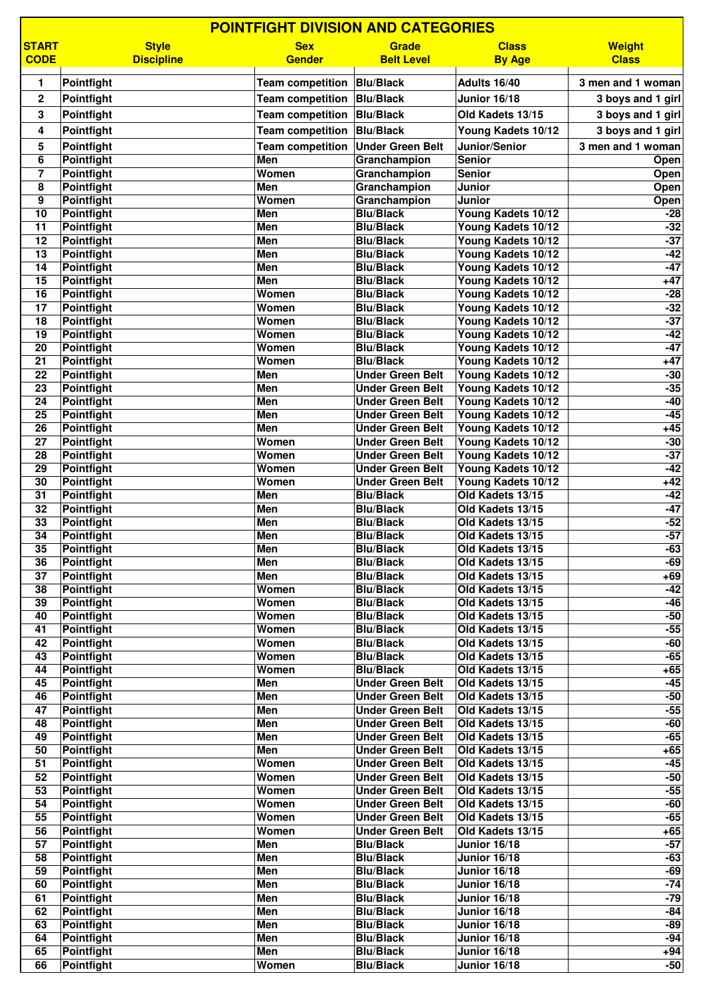|                                    | <b>POINTFIGHT DIVISION AND CATEGORIES</b> |                              |                                                    |                                            |                               |  |  |
|------------------------------------|-------------------------------------------|------------------------------|----------------------------------------------------|--------------------------------------------|-------------------------------|--|--|
| <b>START</b><br><b>CODE</b>        | <b>Style</b><br><b>Discipline</b>         | <b>Sex</b><br><b>Gender</b>  | Grade<br><b>Belt Level</b>                         | <b>Class</b><br><b>By Age</b>              | <b>Weight</b><br><b>Class</b> |  |  |
| 1                                  | Pointfight                                | Team competition   Blu/Black |                                                    | Adults 16/40                               | 3 men and 1 woman             |  |  |
| $\mathbf{2}$                       | Pointfight                                | Team competition Blu/Black   |                                                    | <b>Junior 16/18</b>                        | 3 boys and 1 girl             |  |  |
| 3                                  | Pointfight                                | Team competition Blu/Black   |                                                    | Old Kadets 13/15                           | 3 boys and 1 girl             |  |  |
| 4                                  | <b>Pointfight</b>                         | Team competition Blu/Black   |                                                    | Young Kadets 10/12                         | 3 boys and 1 girl             |  |  |
| 5                                  | Pointfight                                | <b>Team competition</b>      | <b>Under Green Belt</b>                            | Junior/Senior                              | 3 men and 1 woman             |  |  |
| 6                                  | Pointfight                                | Men                          | Granchampion                                       | <b>Senior</b>                              | Open                          |  |  |
| $\overline{7}$                     | Pointfight                                | Women                        | Granchampion                                       | <b>Senior</b>                              | Open                          |  |  |
| 8<br>9                             | Pointfight                                | Men<br>Women                 | Granchampion                                       | Junior<br><b>Junior</b>                    | Open                          |  |  |
| 10                                 | Pointfight<br>Pointfight                  | Men                          | Granchampion<br><b>Blu/Black</b>                   | Young Kadets 10/12                         | Open<br>$-28$                 |  |  |
| 11                                 | Pointfight                                | <b>Men</b>                   | <b>Blu/Black</b>                                   | Young Kadets 10/12                         | $-32$                         |  |  |
| $\overline{12}$                    | Pointfight                                | Men                          | <b>Blu/Black</b>                                   | Young Kadets 10/12                         | $-37$                         |  |  |
| 13                                 | Pointfight                                | <b>Men</b>                   | <b>Blu/Black</b>                                   | Young Kadets 10/12                         | $-42$                         |  |  |
| 14                                 | <b>Pointfight</b>                         | <b>Men</b>                   | <b>Blu/Black</b>                                   | Young Kadets 10/12                         | $-47$                         |  |  |
| 15                                 | <b>Pointfight</b>                         | Men                          | <b>Blu/Black</b>                                   | Young Kadets 10/12                         | $+47$                         |  |  |
| $\overline{16}$<br>$\overline{17}$ | Pointfight<br>Pointfight                  | Women<br>Women               | <b>Blu/Black</b><br><b>Blu/Black</b>               | Young Kadets 10/12<br>Young Kadets 10/12   | $-28$<br>$-32$                |  |  |
| 18                                 | <b>Pointfight</b>                         | Women                        | <b>Blu/Black</b>                                   | Young Kadets 10/12                         | $-37$                         |  |  |
| 19                                 | Pointfight                                | Women                        | <b>Blu/Black</b>                                   | Young Kadets 10/12                         | $-42$                         |  |  |
| $\overline{20}$                    | Pointfight                                | Women                        | <b>Blu/Black</b>                                   | Young Kadets 10/12                         | $-47$                         |  |  |
| $\overline{21}$                    | Pointfight                                | Women                        | <b>Blu/Black</b>                                   | Young Kadets 10/12                         | $+47$                         |  |  |
| 22                                 | <b>Pointfight</b>                         | Men                          | <b>Under Green Belt</b>                            | Young Kadets 10/12                         | $-30$                         |  |  |
| 23                                 | <b>Pointfight</b>                         | <b>Men</b>                   | <b>Under Green Belt</b>                            | Young Kadets 10/12                         | $-35$                         |  |  |
| 24<br>$\overline{25}$              | <b>Pointfight</b><br>Pointfight           | Men<br>Men                   | <b>Under Green Belt</b><br><b>Under Green Belt</b> | Young Kadets 10/12<br>Young Kadets 10/12   | $-40$<br>$-45$                |  |  |
| 26                                 | <b>Pointfight</b>                         | Men                          | <b>Under Green Belt</b>                            | Young Kadets 10/12                         | $+45$                         |  |  |
| 27                                 | Pointfight                                | Women                        | <b>Under Green Belt</b>                            | Young Kadets 10/12                         | $-30$                         |  |  |
| $\overline{28}$                    | Pointfight                                | Women                        | <b>Under Green Belt</b>                            | Young Kadets 10/12                         | $-37$                         |  |  |
| 29                                 | <b>Pointfight</b>                         | Women                        | <b>Under Green Belt</b>                            | Young Kadets 10/12                         | $-42$                         |  |  |
| 30                                 | <b>Pointfight</b>                         | Women                        | <b>Under Green Belt</b>                            | Young Kadets 10/12                         | $+42$                         |  |  |
| 31<br>$\overline{32}$              | Pointfight<br><b>Pointfight</b>           | Men<br>Men                   | <b>Blu/Black</b><br><b>Blu/Black</b>               | Old Kadets 13/15<br>Old Kadets 13/15       | $-42$<br>$-47$                |  |  |
| 33                                 | Pointfight                                | Men                          | <b>Blu/Black</b>                                   | Old Kadets 13/15                           | $-52$                         |  |  |
| 34                                 | <b>Pointfight</b>                         | Men                          | <b>Blu/Black</b>                                   | Old Kadets 13/15                           | $-57$                         |  |  |
| 35                                 | Pointfight                                | Men                          | <b>Blu/Black</b>                                   | Old Kadets 13/15                           | $-63$                         |  |  |
| 36                                 | Pointfight                                | Men                          | <b>Blu/Black</b>                                   | Old Kadets 13/15                           | $-69$                         |  |  |
| $\overline{37}$                    | <b>Pointfight</b>                         | Men                          | <b>Blu/Black</b>                                   | Old Kadets 13/15                           | $+69$                         |  |  |
| 38<br>39                           | Pointfight<br>Pointfight                  | Women<br>Women               | <b>Blu/Black</b><br><b>Blu/Black</b>               | Old Kadets 13/15<br>Old Kadets 13/15       | $-42$<br>$-46$                |  |  |
| 40                                 | Pointfight                                | Women                        | <b>Blu/Black</b>                                   | Old Kadets 13/15                           | $-50$                         |  |  |
| $\overline{41}$                    | Pointfight                                | Women                        | <b>Blu/Black</b>                                   | Old Kadets 13/15                           | $-55$                         |  |  |
| 42                                 | Pointfight                                | Women                        | <b>Blu/Black</b>                                   | Old Kadets 13/15                           | $-60$                         |  |  |
| 43                                 | <b>Pointfight</b>                         | Women                        | <b>Blu/Black</b>                                   | Old Kadets 13/15                           | $-65$                         |  |  |
| 44                                 | <b>Pointfight</b>                         | Women                        | <b>Blu/Black</b>                                   | Old Kadets 13/15                           | $+65$<br>$-45$                |  |  |
| 45<br>46                           | Pointfight<br>Pointfight                  | Men<br>Men                   | <b>Under Green Belt</b><br><b>Under Green Belt</b> | Old Kadets 13/15<br>Old Kadets 13/15       | $-50$                         |  |  |
| 47                                 | Pointfight                                | Men                          | <b>Under Green Belt</b>                            | Old Kadets 13/15                           | $-55$                         |  |  |
| 48                                 | Pointfight                                | Men                          | <b>Under Green Belt</b>                            | Old Kadets 13/15                           | $-60$                         |  |  |
| 49                                 | Pointfight                                | Men                          | <b>Under Green Belt</b>                            | Old Kadets 13/15                           | $-65$                         |  |  |
| 50                                 | Pointfight                                | Men                          | <b>Under Green Belt</b>                            | Old Kadets 13/15                           | $+65$                         |  |  |
| 51<br>52                           | Pointfight                                | Women<br>Women               | <b>Under Green Belt</b><br><b>Under Green Belt</b> | Old Kadets 13/15                           | $-45$<br>$-50$                |  |  |
| 53                                 | Pointfight<br>Pointfight                  | Women                        | <b>Under Green Belt</b>                            | Old Kadets 13/15<br>Old Kadets 13/15       | $-55$                         |  |  |
| 54                                 | Pointfight                                | Women                        | <b>Under Green Belt</b>                            | Old Kadets 13/15                           | $-60$                         |  |  |
| 55                                 | Pointfight                                | Women                        | <b>Under Green Belt</b>                            | Old Kadets 13/15                           | $-65$                         |  |  |
| 56                                 | Pointfight                                | Women                        | <b>Under Green Belt</b>                            | Old Kadets 13/15                           | $+65$                         |  |  |
| 57                                 | Pointfight                                | Men                          | <b>Blu/Black</b>                                   | <b>Junior 16/18</b>                        | $-57$                         |  |  |
| 58                                 | Pointfight                                | Men                          | <b>Blu/Black</b>                                   | Junior 16/18                               | $-63$                         |  |  |
| 59<br>60                           | Pointfight<br>Pointfight                  | Men<br>Men                   | <b>Blu/Black</b><br><b>Blu/Black</b>               | <b>Junior 16/18</b><br><b>Junior 16/18</b> | $-69$<br>$-74$                |  |  |
| 61                                 | Pointfight                                | <b>Men</b>                   | <b>Blu/Black</b>                                   | <b>Junior 16/18</b>                        | $-79$                         |  |  |
| 62                                 | <b>Pointfight</b>                         | Men                          | <b>Blu/Black</b>                                   | <b>Junior 16/18</b>                        | $-84$                         |  |  |
| 63                                 | Pointfight                                | Men                          | <b>Blu/Black</b>                                   | <b>Junior 16/18</b>                        | $-89$                         |  |  |
| 64                                 | Pointfight                                | Men                          | <b>Blu/Black</b>                                   | <b>Junior 16/18</b>                        | $-94$                         |  |  |
| 65<br>66                           | Pointfight<br>Pointfight                  | <b>Men</b>                   | <b>Blu/Black</b>                                   | <b>Junior 16/18</b>                        | $+94$<br>$-50$                |  |  |
|                                    |                                           | Women                        | <b>Blu/Black</b>                                   | <b>Junior 16/18</b>                        |                               |  |  |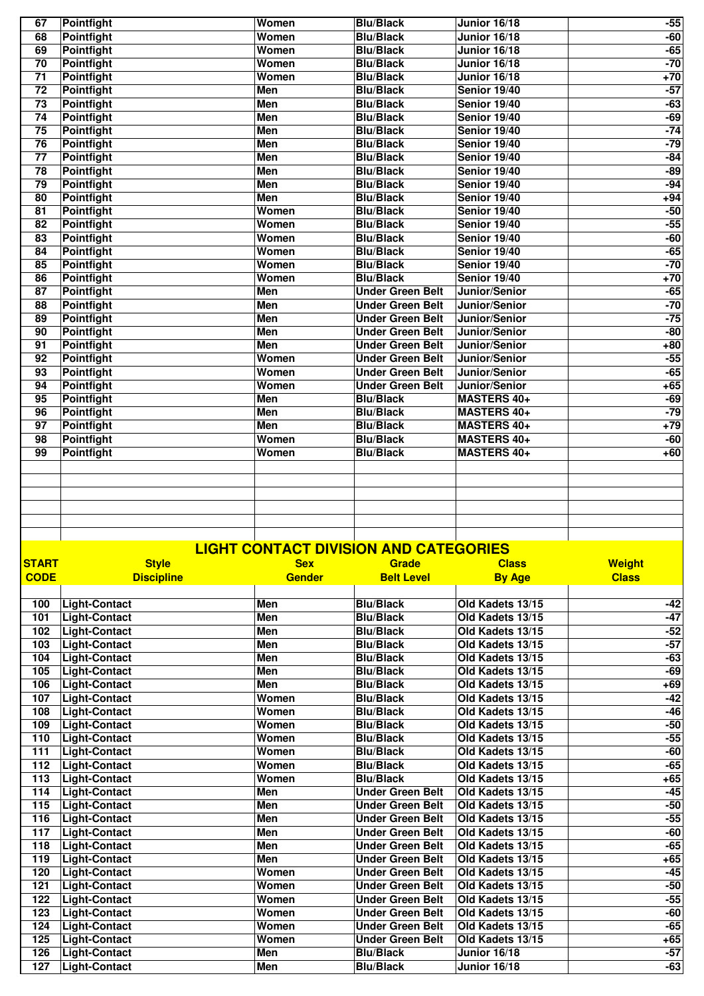| 67              | <b>Pointfight</b> | Women      | <b>Blu/Black</b>        | <b>Junior 16/18</b> | $-55$ |
|-----------------|-------------------|------------|-------------------------|---------------------|-------|
| 68              | <b>Pointfight</b> | Women      | <b>Blu/Black</b>        | <b>Junior 16/18</b> | $-60$ |
| 69              | Pointfight        | Women      | <b>Blu/Black</b>        | Junior 16/18        | $-65$ |
| $\overline{70}$ | Pointfight        | Women      | <b>Blu/Black</b>        | Junior 16/18        | $-70$ |
| $\overline{71}$ | <b>Pointfight</b> | Women      | <b>Blu/Black</b>        | <b>Junior 16/18</b> | $+70$ |
| $\overline{72}$ | <b>Pointfight</b> | Men        | <b>Blu/Black</b>        | Senior 19/40        | $-57$ |
| $\overline{73}$ | Pointfight        | <b>Men</b> | <b>Blu/Black</b>        | Senior 19/40        | $-63$ |
| $\overline{74}$ | <b>Pointfight</b> | Men        | <b>Blu/Black</b>        | <b>Senior 19/40</b> | $-69$ |
| 75              | <b>Pointfight</b> | Men        | <b>Blu/Black</b>        | <b>Senior 19/40</b> | $-74$ |
| 76              | <b>Pointfight</b> | Men        | <b>Blu/Black</b>        | Senior 19/40        | $-79$ |
| 77              | <b>Pointfight</b> | Men        | <b>Blu/Black</b>        | Senior 19/40        | $-84$ |
| 78              | <b>Pointfight</b> | Men        | <b>Blu/Black</b>        | Senior 19/40        | $-89$ |
| 79              | <b>Pointfight</b> | <b>Men</b> | <b>Blu/Black</b>        | Senior 19/40        | $-94$ |
| 80              | <b>Pointfight</b> | <b>Men</b> | <b>Blu/Black</b>        | Senior 19/40        | $+94$ |
| 81              | <b>Pointfight</b> | Women      | <b>Blu/Black</b>        | Senior 19/40        | $-50$ |
| 82              | <b>Pointfight</b> | Women      | <b>Blu/Black</b>        | Senior 19/40        | $-55$ |
| 83              | <b>Pointfight</b> | Women      | <b>Blu/Black</b>        | Senior 19/40        | $-60$ |
| 84              | <b>Pointfight</b> | Women      | <b>Blu/Black</b>        | <b>Senior 19/40</b> | $-65$ |
| 85              | <b>Pointfight</b> | Women      | <b>Blu/Black</b>        | Senior 19/40        | $-70$ |
| 86              | Pointfight        | Women      | <b>Blu/Black</b>        | Senior 19/40        | $+70$ |
| 87              | Pointfight        | <b>Men</b> | <b>Under Green Belt</b> | Junior/Senior       | $-65$ |
| 88              | <b>Pointfight</b> | Men        | <b>Under Green Belt</b> | Junior/Senior       | $-70$ |
| 89              | <b>Pointfight</b> | Men        | <b>Under Green Belt</b> | Junior/Senior       | $-75$ |
| 90              | Pointfight        | Men        | <b>Under Green Belt</b> | Junior/Senior       | $-80$ |
| $\overline{91}$ | <b>Pointfight</b> | Men        | <b>Under Green Belt</b> | Junior/Senior       | $+80$ |
| 92              | <b>Pointfight</b> | Women      | <b>Under Green Belt</b> | Junior/Senior       | $-55$ |
| $\overline{93}$ | <b>Pointfight</b> | Women      | <b>Under Green Belt</b> | Junior/Senior       | $-65$ |
| 94              | Pointfight        | Women      | <b>Under Green Belt</b> | Junior/Senior       | $+65$ |
| 95              | <b>Pointfight</b> | Men        | <b>Blu/Black</b>        | <b>MASTERS 40+</b>  | $-69$ |
| 96              | <b>Pointfight</b> | <b>Men</b> | <b>Blu/Black</b>        | <b>MASTERS 40+</b>  | $-79$ |
| 97              | Pointfight        | Men        | <b>Blu/Black</b>        | <b>MASTERS 40+</b>  | $+79$ |
| 98              | Pointfight        | Women      | <b>Blu/Black</b>        | <b>MASTERS 40+</b>  | $-60$ |
| 99              | <b>Pointfight</b> | Women      | <b>Blu/Black</b>        | <b>MASTERS 40+</b>  | $+60$ |
|                 |                   |            |                         |                     |       |
|                 |                   |            |                         |                     |       |
|                 |                   |            |                         |                     |       |
|                 |                   |            |                         |                     |       |
|                 |                   |            |                         |                     |       |
|                 |                   |            |                         |                     |       |

## **LIGHT CONTACT DIVISION AND CATEGORIES**

| <b>START</b> | <b>Style</b>         | <b>Sex</b>    | <b>Grade</b>            | <b>Class</b>     | <b>Weight</b> |
|--------------|----------------------|---------------|-------------------------|------------------|---------------|
| <b>CODE</b>  | <b>Discipline</b>    | <b>Gender</b> | <b>Belt Level</b>       | <b>By Age</b>    | <b>Class</b>  |
|              |                      |               |                         |                  |               |
| 100          | Light-Contact        | Men           | <b>Blu/Black</b>        | Old Kadets 13/15 | -42           |
| 101          | <b>Light-Contact</b> | <b>Men</b>    | <b>Blu/Black</b>        | Old Kadets 13/15 | $-47$         |
| 102          | <b>Light-Contact</b> | Men           | <b>Blu/Black</b>        | Old Kadets 13/15 | $-52$         |
| 103          | <b>Light-Contact</b> | Men           | <b>Blu/Black</b>        | Old Kadets 13/15 | -57           |
| 104          | <b>Light-Contact</b> | <b>Men</b>    | <b>Blu/Black</b>        | Old Kadets 13/15 | $-63$         |
| 105          | <b>Light-Contact</b> | Men           | <b>Blu/Black</b>        | Old Kadets 13/15 | $-69$         |
| 106          | <b>Light-Contact</b> | Men           | <b>Blu/Black</b>        | Old Kadets 13/15 | $+69$         |
| 107          | <b>Light-Contact</b> | Women         | <b>Blu/Black</b>        | Old Kadets 13/15 | $-42$         |
| 108          | <b>Light-Contact</b> | Women         | <b>Blu/Black</b>        | Old Kadets 13/15 | $-46$         |
| 109          | <b>Light-Contact</b> | Women         | <b>Blu/Black</b>        | Old Kadets 13/15 | $-50$         |
| 110          | <b>Light-Contact</b> | Women         | <b>Blu/Black</b>        | Old Kadets 13/15 | $-55$         |
| 111          | <b>Light-Contact</b> | Women         | <b>Blu/Black</b>        | Old Kadets 13/15 | $-60$         |
| 112          | <b>Light-Contact</b> | Women         | <b>Blu/Black</b>        | Old Kadets 13/15 | $-65$         |
| 113          | <b>Light-Contact</b> | Women         | <b>Blu/Black</b>        | Old Kadets 13/15 | $+65$         |
| 114          | <b>Light-Contact</b> | Men           | <b>Under Green Belt</b> | Old Kadets 13/15 | $-45$         |
| 115          | <b>Light-Contact</b> | <b>Men</b>    | <b>Under Green Belt</b> | Old Kadets 13/15 | $-50$         |
| 116          | <b>Light-Contact</b> | <b>Men</b>    | <b>Under Green Belt</b> | Old Kadets 13/15 | $-55$         |
| 117          | <b>Light-Contact</b> | Men           | <b>Under Green Belt</b> | Old Kadets 13/15 | $-60$         |
| 118          | <b>Light-Contact</b> | Men           | <b>Under Green Belt</b> | Old Kadets 13/15 | $-65$         |
| 119          | <b>Light-Contact</b> | Men           | <b>Under Green Belt</b> | Old Kadets 13/15 | $+65$         |
| 120          | <b>Light-Contact</b> | Women         | <b>Under Green Belt</b> | Old Kadets 13/15 | $-45$         |
| 121          | <b>Light-Contact</b> | Women         | <b>Under Green Belt</b> | Old Kadets 13/15 | $-50$         |
| 122          | <b>Light-Contact</b> | Women         | <b>Under Green Belt</b> | Old Kadets 13/15 | $-55$         |
| 123          | <b>Light-Contact</b> | Women         | <b>Under Green Belt</b> | Old Kadets 13/15 | $-60$         |
| 124          | <b>Light-Contact</b> | Women         | <b>Under Green Belt</b> | Old Kadets 13/15 | $-65$         |
| 125          | <b>Light-Contact</b> | Women         | <b>Under Green Belt</b> | Old Kadets 13/15 | $+65$         |
| 126          | <b>Light-Contact</b> | Men           | <b>Blu/Black</b>        | Junior 16/18     | $-57$         |
| 127          | <b>Light-Contact</b> | Men           | <b>Blu/Black</b>        | Junior 16/18     | $-63$         |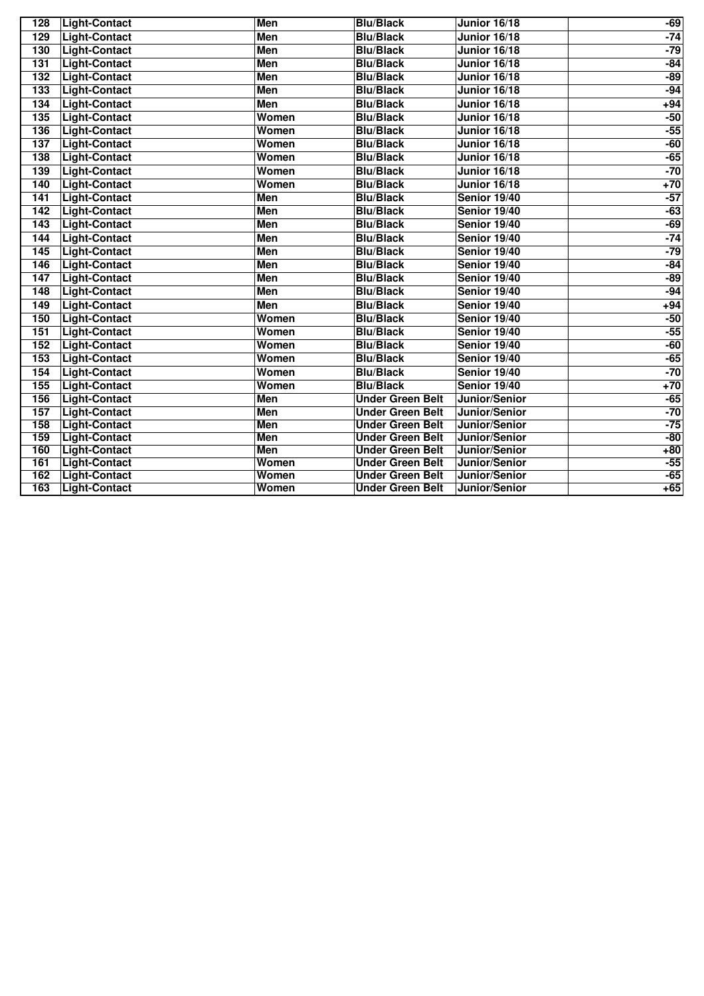| 128 | <b>Light-Contact</b> | Men        | <b>Blu/Black</b>        | <b>Junior 16/18</b> | $-69$ |
|-----|----------------------|------------|-------------------------|---------------------|-------|
| 129 | <b>Light-Contact</b> | Men        | <b>Blu/Black</b>        | <b>Junior 16/18</b> | $-74$ |
| 130 | <b>Light-Contact</b> | Men        | <b>Blu/Black</b>        | <b>Junior 16/18</b> | $-79$ |
| 131 | <b>Light-Contact</b> | <b>Men</b> | <b>Blu/Black</b>        | <b>Junior 16/18</b> | $-84$ |
| 132 | <b>Light-Contact</b> | <b>Men</b> | <b>Blu/Black</b>        | <b>Junior 16/18</b> | $-89$ |
| 133 | <b>Light-Contact</b> | Men        | <b>Blu/Black</b>        | <b>Junior 16/18</b> | $-94$ |
| 134 | <b>Light-Contact</b> | Men        | <b>Blu/Black</b>        | Junior 16/18        | $+94$ |
| 135 | <b>Light-Contact</b> | Women      | <b>Blu/Black</b>        | <b>Junior 16/18</b> | $-50$ |
| 136 | <b>Light-Contact</b> | Women      | <b>Blu/Black</b>        | <b>Junior 16/18</b> | $-55$ |
| 137 | <b>Light-Contact</b> | Women      | <b>Blu/Black</b>        | <b>Junior 16/18</b> | $-60$ |
| 138 | <b>Light-Contact</b> | Women      | <b>Blu/Black</b>        | <b>Junior 16/18</b> | $-65$ |
| 139 | <b>Light-Contact</b> | Women      | <b>Blu/Black</b>        | Junior 16/18        | $-70$ |
| 140 | <b>Light-Contact</b> | Women      | <b>Blu/Black</b>        | <b>Junior 16/18</b> | $+70$ |
| 141 | <b>Light-Contact</b> | <b>Men</b> | <b>Blu/Black</b>        | Senior 19/40        | $-57$ |
| 142 | <b>Light-Contact</b> | <b>Men</b> | <b>Blu/Black</b>        | Senior 19/40        | $-63$ |
| 143 | <b>Light-Contact</b> | <b>Men</b> | <b>Blu/Black</b>        | Senior 19/40        | $-69$ |
| 144 | <b>Light-Contact</b> | <b>Men</b> | <b>Blu/Black</b>        | <b>Senior 19/40</b> | $-74$ |
| 145 | <b>Light-Contact</b> | <b>Men</b> | <b>Blu/Black</b>        | <b>Senior 19/40</b> | $-79$ |
| 146 | <b>Light-Contact</b> | <b>Men</b> | <b>Blu/Black</b>        | Senior 19/40        | $-84$ |
| 147 | <b>Light-Contact</b> | <b>Men</b> | <b>Blu/Black</b>        | Senior 19/40        | $-89$ |
| 148 | <b>Light-Contact</b> | Men        | <b>Blu/Black</b>        | <b>Senior 19/40</b> | $-94$ |
| 149 | <b>Light-Contact</b> | <b>Men</b> | <b>Blu/Black</b>        | Senior 19/40        | $+94$ |
| 150 | <b>Light-Contact</b> | Women      | <b>Blu/Black</b>        | Senior 19/40        | $-50$ |
| 151 | <b>Light-Contact</b> | Women      | <b>Blu/Black</b>        | <b>Senior 19/40</b> | $-55$ |
| 152 | <b>Light-Contact</b> | Women      | <b>Blu/Black</b>        | Senior 19/40        | $-60$ |
| 153 | <b>Light-Contact</b> | Women      | <b>Blu/Black</b>        | <b>Senior 19/40</b> | $-65$ |
| 154 | <b>Light-Contact</b> | Women      | <b>Blu/Black</b>        | <b>Senior 19/40</b> | $-70$ |
| 155 | <b>Light-Contact</b> | Women      | <b>Blu/Black</b>        | Senior 19/40        | $+70$ |
| 156 | <b>Light-Contact</b> | <b>Men</b> | <b>Under Green Belt</b> | Junior/Senior       | $-65$ |
| 157 | <b>Light-Contact</b> | Men        | <b>Under Green Belt</b> | Junior/Senior       | $-70$ |
| 158 | <b>Light-Contact</b> | <b>Men</b> | <b>Under Green Belt</b> | Junior/Senior       | $-75$ |
| 159 | <b>Light-Contact</b> | <b>Men</b> | <b>Under Green Belt</b> | Junior/Senior       | $-80$ |
| 160 | <b>Light-Contact</b> | <b>Men</b> | <b>Under Green Belt</b> | Junior/Senior       | $+80$ |
| 161 | <b>Light-Contact</b> | Women      | <b>Under Green Belt</b> | Junior/Senior       | $-55$ |
| 162 | <b>Light-Contact</b> | Women      | <b>Under Green Belt</b> | Junior/Senior       | $-65$ |
| 163 | <b>Light-Contact</b> | Women      | <b>Under Green Belt</b> | Junior/Senior       | $+65$ |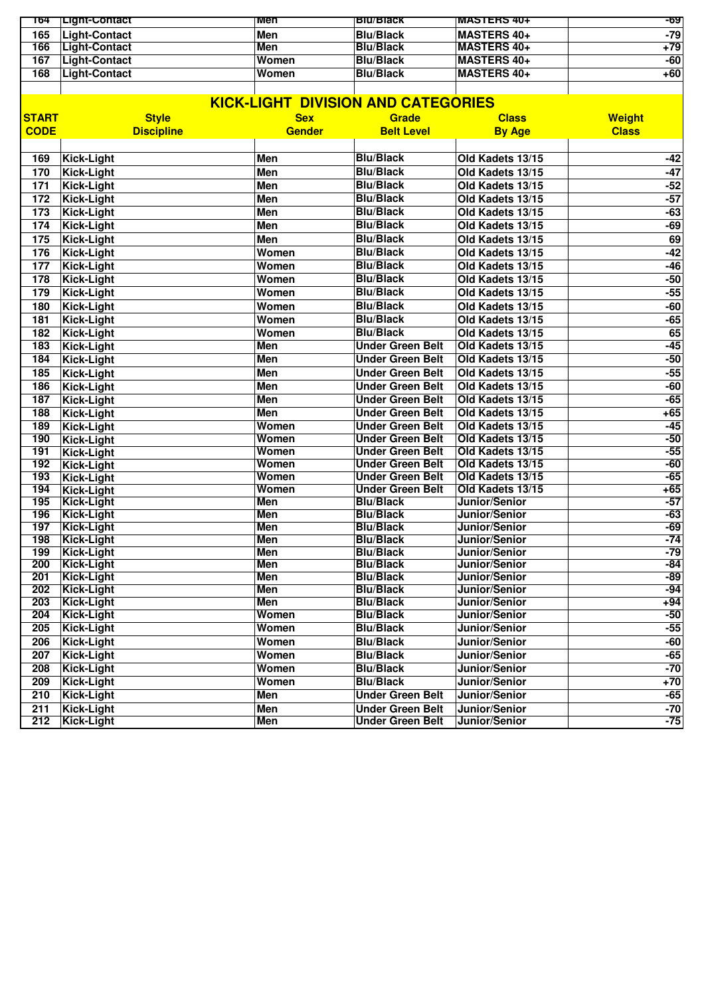| 168 | Light-Contact         | Women | <b>Blu/Black</b> | MASTERS 40+         | $+60$ |
|-----|-----------------------|-------|------------------|---------------------|-------|
| 167 | Light-Contact         | Women | <b>Blu/Black</b> | MASTERS 40+         | -60   |
| 166 | Light-Contact         | Men   | <b>Blu/Black</b> | <b>IMASTERS 40+</b> | $+79$ |
| 165 | Light-Contact         | Men   | <b>Blu/Black</b> | <b>IMASTERS 40+</b> | -79   |
| 164 | <u>⊤∟ight-Contact</u> | men   | вш/віаск         | <b>MASTERS 40+</b>  | -69   |

|              | <b>KICK-LIGHT DIVISION AND CATEGORIES</b> |               |                                      |                                |                |  |  |
|--------------|-------------------------------------------|---------------|--------------------------------------|--------------------------------|----------------|--|--|
| <b>START</b> | <b>Style</b>                              | <b>Sex</b>    | Grade                                | <b>Class</b>                   | <b>Weight</b>  |  |  |
| <b>CODE</b>  | <b>Discipline</b>                         | <b>Gender</b> | <b>Belt Level</b>                    | <b>By Age</b>                  | <b>Class</b>   |  |  |
|              |                                           |               | <b>Blu/Black</b>                     |                                |                |  |  |
| 169          | <b>Kick-Light</b>                         | <b>Men</b>    | <b>Blu/Black</b>                     | Old Kadets 13/15               | $-42$          |  |  |
| 170          | Kick-Light                                | <b>Men</b>    |                                      | Old Kadets 13/15               | $-47$          |  |  |
| 171          | Kick-Light                                | Men           | <b>Blu/Black</b>                     | Old Kadets 13/15               | $-52$          |  |  |
| 172          | <b>Kick-Light</b>                         | <b>Men</b>    | <b>Blu/Black</b>                     | Old Kadets 13/15               | $-57$          |  |  |
| 173          | <b>Kick-Light</b>                         | <b>Men</b>    | <b>Blu/Black</b>                     | Old Kadets 13/15               | $-63$          |  |  |
| 174          | Kick-Light                                | Men           | <b>Blu/Black</b>                     | Old Kadets 13/15               | $-69$          |  |  |
| 175          | Kick-Light                                | Men           | <b>Blu/Black</b>                     | Old Kadets 13/15               | 69             |  |  |
| 176          | Kick-Light                                | Women         | <b>Blu/Black</b>                     | Old Kadets 13/15               | $-42$          |  |  |
| 177          | Kick-Light                                | Women         | <b>Blu/Black</b>                     | Old Kadets 13/15               | $-46$          |  |  |
| 178          | Kick-Light                                | Women         | <b>Blu/Black</b>                     | Old Kadets 13/15               | $-50$          |  |  |
| 179          | Kick-Light                                | Women         | <b>Blu/Black</b>                     | Old Kadets 13/15               | $-55$          |  |  |
| 180          | Kick-Light                                | Women         | <b>Blu/Black</b>                     | Old Kadets 13/15               | $-60$          |  |  |
| 181          | <b>Kick-Light</b>                         | Women         | <b>Blu/Black</b>                     | Old Kadets 13/15               | $-65$          |  |  |
| 182          | <b>Kick-Light</b>                         | Women         | <b>Blu/Black</b>                     | Old Kadets 13/15               | 65             |  |  |
| 183          | Kick-Light                                | Men           | <b>Under Green Belt</b>              | Old Kadets 13/15               | $-45$          |  |  |
| 184          | Kick-Light                                | Men           | <b>Under Green Belt</b>              | Old Kadets 13/15               | $-50$          |  |  |
| 185          | Kick-Light                                | Men           | <b>Under Green Belt</b>              | Old Kadets 13/15               | $-55$          |  |  |
| 186          | <b>Kick-Light</b>                         | <b>Men</b>    | <b>Under Green Belt</b>              | Old Kadets 13/15               | $-60$          |  |  |
| 187          | <b>Kick-Light</b>                         | Men           | <b>Under Green Belt</b>              | Old Kadets 13/15               | $-65$          |  |  |
| 188          | Kick-Light                                | <b>Men</b>    | <b>Under Green Belt</b>              | Old Kadets 13/15               | $+65$          |  |  |
| 189          | Kick-Light                                | Women         | <b>Under Green Belt</b>              | Old Kadets 13/15               | $-45$          |  |  |
| 190          | <b>Kick-Light</b>                         | Women         | <b>Under Green Belt</b>              | Old Kadets 13/15               | $-50$          |  |  |
| 191          | Kick-Light                                | Women         | <b>Under Green Belt</b>              | Old Kadets 13/15               | $-55$          |  |  |
| 192          | Kick-Light                                | Women         | <b>Under Green Belt</b>              | Old Kadets 13/15               | $-60$          |  |  |
| 193          | <b>Kick-Light</b>                         | Women         | <b>Under Green Belt</b>              | Old Kadets 13/15               | $-65$          |  |  |
| 194          | <b>Kick-Light</b>                         | Women         | <b>Under Green Belt</b>              | Old Kadets 13/15               | $+65$          |  |  |
| 195          | Kick-Light                                | Men           | <b>Blu/Black</b>                     | Junior/Senior                  | $-57$          |  |  |
| 196          | <b>Kick-Light</b>                         | <b>Men</b>    | <b>Blu/Black</b>                     | Junior/Senior                  | $-63$          |  |  |
| 197          | <b>Kick-Light</b>                         | <b>Men</b>    | <b>Blu/Black</b>                     | Junior/Senior                  | $-69$          |  |  |
| 198<br>199   | Kick-Light                                | Men<br>Men    | <b>Blu/Black</b><br><b>Blu/Black</b> | Junior/Senior<br>Junior/Senior | $-74$<br>$-79$ |  |  |
| 200          | <b>Kick-Light</b><br><b>Kick-Light</b>    | Men           | <b>Blu/Black</b>                     | Junior/Senior                  | $-84$          |  |  |
| 201          | <b>Kick-Light</b>                         | Men           | <b>Blu/Black</b>                     | Junior/Senior                  | $-89$          |  |  |
| 202          | <b>Kick-Light</b>                         | Men           | <b>Blu/Black</b>                     | Junior/Senior                  | $-94$          |  |  |
| 203          | <b>Kick-Light</b>                         | Men           | <b>Blu/Black</b>                     | Junior/Senior                  | $+94$          |  |  |
| 204          | Kick-Light                                | Women         | <b>Blu/Black</b>                     | Junior/Senior                  | $-50$          |  |  |
| 205          | Kick-Light                                | Women         | <b>Blu/Black</b>                     | Junior/Senior                  | $-55$          |  |  |
| 206          | Kick-Light                                | Women         | <b>Blu/Black</b>                     | Junior/Senior                  | $-60$          |  |  |
| 207          | Kick-Light                                | Women         | <b>Blu/Black</b>                     | Junior/Senior                  | $-65$          |  |  |
| 208          | Kick-Light                                | Women         | <b>Blu/Black</b>                     | Junior/Senior                  | $-70$          |  |  |
| 209          | Kick-Light                                | Women         | <b>Blu/Black</b>                     | Junior/Senior                  | $+70$          |  |  |
| 210          | Kick-Light                                | Men           | <b>Under Green Belt</b>              | Junior/Senior                  | $-65$          |  |  |
| 211          | <b>Kick-Light</b>                         | Men           | <b>Under Green Belt</b>              | Junior/Senior                  | $-70$          |  |  |
| 212          | <b>Kick-Light</b>                         |               | <b>Under Green Belt</b>              | Junior/Senior                  | $-75$          |  |  |
|              |                                           | Men           |                                      |                                |                |  |  |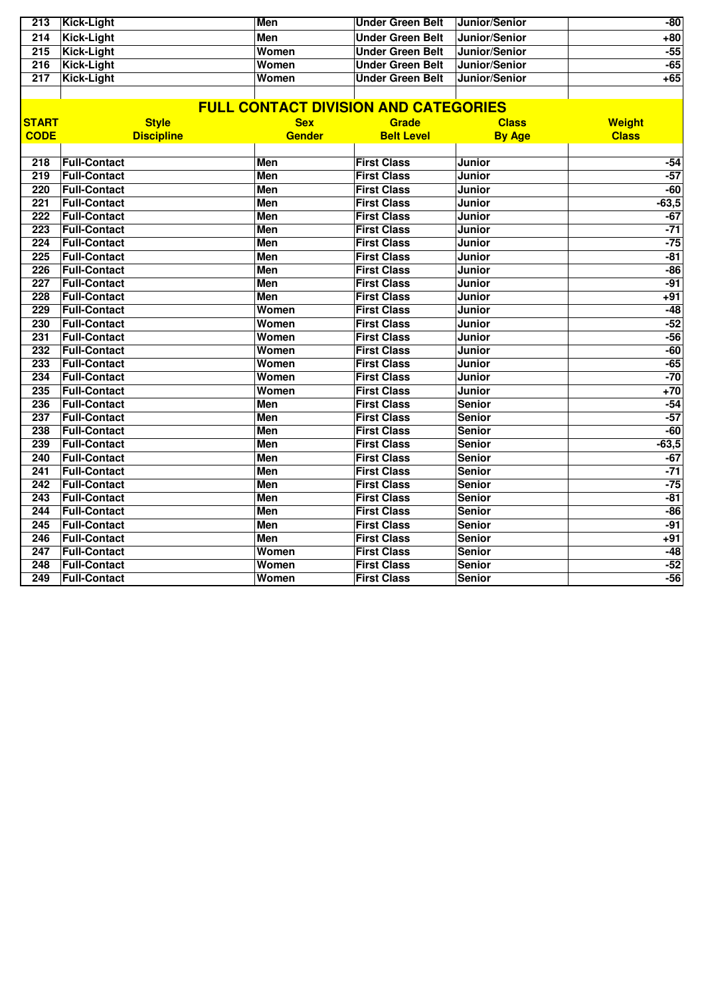| 213 | Kick-Light | Men   | ∣Under Green Belt | <b>Junior/Senior</b> | $-80$ |
|-----|------------|-------|-------------------|----------------------|-------|
| 214 | Kick-Light | Men   | Under Green Belt  | <b>Junior/Senior</b> | $+80$ |
| 215 | Kick-Liaht | Women | Under Green Belt  | <b>Junior/Senior</b> | $-55$ |
| 216 | Kick-Light | Women | Under Green Belt  | Junior/Senior        | $-65$ |
| 217 | Kick-Liaht | Women | Under Green Belt  | Junior/Senior        | $+65$ |
|     |            |       |                   |                      |       |

|                  |                     |               | <b>FULL CONTACT DIVISION AND CATEGORIES</b> |               |               |
|------------------|---------------------|---------------|---------------------------------------------|---------------|---------------|
| <b>START</b>     | <b>Style</b>        | <b>Sex</b>    | Grade                                       | <b>Class</b>  | <b>Weight</b> |
| <b>CODE</b>      | <b>Discipline</b>   | <b>Gender</b> | <b>Belt Level</b>                           | <b>By Age</b> | <b>Class</b>  |
|                  |                     |               |                                             |               |               |
| 218              | <b>Full-Contact</b> | Men           | <b>First Class</b>                          | Junior        | $-54$         |
| 219              | <b>Full-Contact</b> | Men           | <b>First Class</b>                          | <b>Junior</b> | $-57$         |
| 220              | <b>Full-Contact</b> | Men           | <b>First Class</b>                          | <b>Junior</b> | $-60$         |
| 221              | <b>Full-Contact</b> | Men           | <b>First Class</b>                          | Junior        | $-63,5$       |
| 222              | <b>Full-Contact</b> | Men           | <b>First Class</b>                          | Junior        | $-67$         |
| 223              | <b>Full-Contact</b> | Men           | <b>First Class</b>                          | <b>Junior</b> | $-71$         |
| 224              | <b>Full-Contact</b> | Men           | <b>First Class</b>                          | Junior        | $-75$         |
| 225              | <b>Full-Contact</b> | Men           | <b>First Class</b>                          | Junior        | $-81$         |
| 226              | <b>Full-Contact</b> | Men           | <b>First Class</b>                          | Junior        | $-86$         |
| $\overline{227}$ | <b>Full-Contact</b> | <b>Men</b>    | <b>First Class</b>                          | Junior        | $-91$         |
| 228              | <b>Full-Contact</b> | Men           | <b>First Class</b>                          | Junior        | $+91$         |
| 229              | <b>Full-Contact</b> | Women         | <b>First Class</b>                          | Junior        | $-48$         |
| 230              | <b>Full-Contact</b> | Women         | <b>First Class</b>                          | Junior        | $-52$         |
| 231              | <b>Full-Contact</b> | Women         | <b>First Class</b>                          | Junior        | $-56$         |
| 232              | <b>Full-Contact</b> | Women         | <b>First Class</b>                          | Junior        | $-60$         |
| 233              | <b>Full-Contact</b> | Women         | <b>First Class</b>                          | Junior        | $-65$         |
| 234              | <b>Full-Contact</b> | Women         | <b>First Class</b>                          | <b>Junior</b> | $-70$         |
| 235              | <b>Full-Contact</b> | Women         | <b>First Class</b>                          | <b>Junior</b> | $+70$         |
| 236              | <b>Full-Contact</b> | Men           | <b>First Class</b>                          | <b>Senior</b> | $-54$         |
| $\overline{237}$ | <b>Full-Contact</b> | <b>Men</b>    | <b>First Class</b>                          | <b>Senior</b> | $-57$         |
| 238              | <b>Full-Contact</b> | Men           | <b>First Class</b>                          | <b>Senior</b> | $-60$         |
| 239              | <b>Full-Contact</b> | <b>Men</b>    | <b>First Class</b>                          | <b>Senior</b> | $-63,5$       |
| 240              | <b>Full-Contact</b> | Men           | <b>First Class</b>                          | <b>Senior</b> | $-67$         |
| 241              | <b>Full-Contact</b> | <b>Men</b>    | <b>First Class</b>                          | <b>Senior</b> | $-71$         |
| 242              | <b>Full-Contact</b> | <b>Men</b>    | <b>First Class</b>                          | <b>Senior</b> | $-75$         |
| $\overline{243}$ | <b>Full-Contact</b> | <b>Men</b>    | <b>First Class</b>                          | <b>Senior</b> | $-81$         |
| 244              | <b>Full-Contact</b> | Men           | <b>First Class</b>                          | <b>Senior</b> | $-86$         |
| 245              | <b>Full-Contact</b> | <b>Men</b>    | <b>First Class</b>                          | <b>Senior</b> | $-91$         |
| 246              | <b>Full-Contact</b> | Men           | <b>First Class</b>                          | <b>Senior</b> | $+91$         |
| 247              | <b>Full-Contact</b> | Women         | <b>First Class</b>                          | <b>Senior</b> | $-48$         |
| 248              | <b>Full-Contact</b> | Women         | <b>First Class</b>                          | <b>Senior</b> | $-52$         |
| 249              | <b>Full-Contact</b> | Women         | <b>First Class</b>                          | <b>Senior</b> | $-56$         |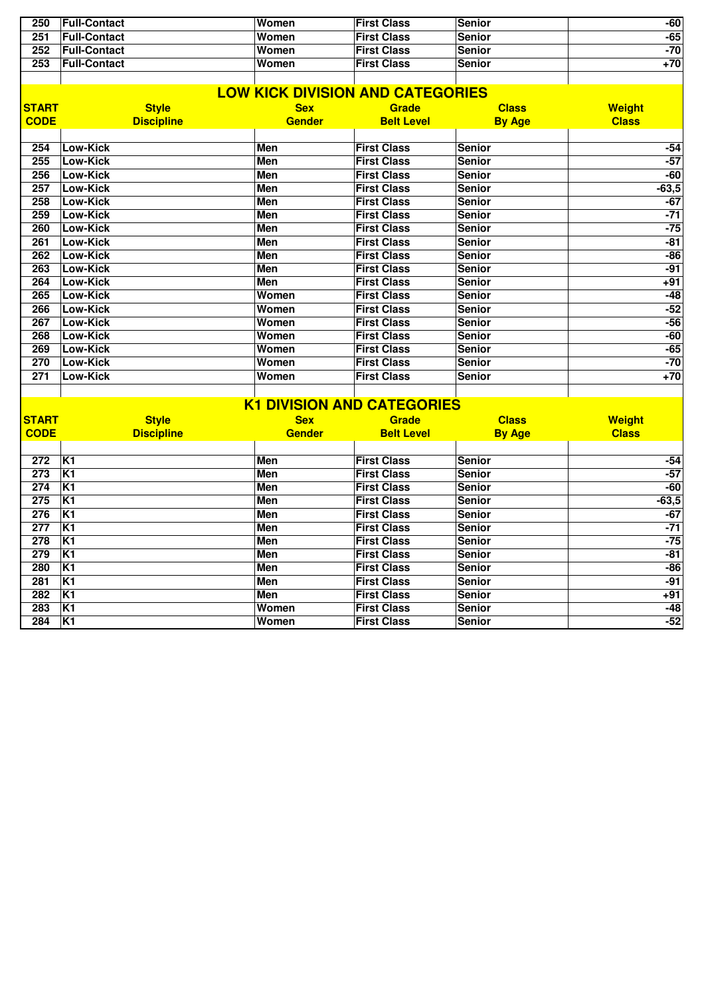| 250 | <b>Full-Contact</b> | Women | <b>First Class</b> | Senior        | -60 |
|-----|---------------------|-------|--------------------|---------------|-----|
| 251 | <b>Full-Contact</b> | Women | <b>First Class</b> | Senior        | -65 |
| 252 | <b>Full-Contact</b> | Women | <b>First Class</b> | <b>Senior</b> | -70 |
| 253 | <b>Full-Contact</b> | Women | <b>First Class</b> | <b>Senior</b> | +70 |
|     |                     |       |                    |               |     |

|                             | <b>LOW KICK DIVISION AND CATEGORIES</b> |                             |                                   |                               |                               |  |  |  |  |
|-----------------------------|-----------------------------------------|-----------------------------|-----------------------------------|-------------------------------|-------------------------------|--|--|--|--|
| <b>START</b><br><b>CODE</b> | <b>Style</b><br><b>Discipline</b>       | <b>Sex</b><br><b>Gender</b> | <b>Grade</b><br><b>Belt Level</b> | <b>Class</b><br><b>By Age</b> | <b>Weight</b><br><b>Class</b> |  |  |  |  |
|                             |                                         |                             |                                   |                               |                               |  |  |  |  |
| 254                         | <b>Low-Kick</b>                         | Men                         | <b>First Class</b>                | <b>Senior</b>                 | $-54$                         |  |  |  |  |
| 255                         | Low-Kick                                | <b>Men</b>                  | <b>First Class</b>                | <b>Senior</b>                 | $-57$                         |  |  |  |  |
| 256                         | Low-Kick                                | <b>Men</b>                  | <b>First Class</b>                | <b>Senior</b>                 | $-60$                         |  |  |  |  |
| 257                         | <b>Low-Kick</b>                         | <b>Men</b>                  | <b>First Class</b>                | <b>Senior</b>                 | $-63,5$                       |  |  |  |  |
| 258                         | <b>Low-Kick</b>                         | <b>Men</b>                  | <b>First Class</b>                | <b>Senior</b>                 | $-67$                         |  |  |  |  |
| 259                         | <b>Low-Kick</b>                         | Men                         | <b>First Class</b>                | <b>Senior</b>                 | $-71$                         |  |  |  |  |
| 260                         | Low-Kick                                | Men                         | <b>First Class</b>                | <b>Senior</b>                 | $-75$                         |  |  |  |  |
| 261                         | <b>Low-Kick</b>                         | Men                         | <b>First Class</b>                | <b>Senior</b>                 | $-81$                         |  |  |  |  |
| 262                         | <b>Low-Kick</b>                         | Men                         | <b>First Class</b>                | <b>Senior</b>                 | $-86$                         |  |  |  |  |
| 263                         | <b>Low-Kick</b>                         | <b>Men</b>                  | <b>First Class</b>                | <b>Senior</b>                 | $-91$                         |  |  |  |  |
| 264                         | Low-Kick                                | Men                         | <b>First Class</b>                | <b>Senior</b>                 | $+91$                         |  |  |  |  |
| 265                         | <b>Low-Kick</b>                         | Women                       | <b>First Class</b>                | <b>Senior</b>                 | $-48$                         |  |  |  |  |
| 266                         | Low-Kick                                | Women                       | <b>First Class</b>                | <b>Senior</b>                 | $-52$                         |  |  |  |  |
| 267                         | <b>Low-Kick</b>                         | Women                       | <b>First Class</b>                | <b>Senior</b>                 | $-56$                         |  |  |  |  |
| 268                         | <b>Low-Kick</b>                         | Women                       | <b>First Class</b>                | <b>Senior</b>                 | $-60$                         |  |  |  |  |
| 269                         | <b>Low-Kick</b>                         | Women                       | <b>First Class</b>                | <b>Senior</b>                 | $-65$                         |  |  |  |  |
| 270                         | Low-Kick                                | Women                       | <b>First Class</b>                | <b>Senior</b>                 | $-70$                         |  |  |  |  |
| 271                         | <b>Low-Kick</b>                         | Women                       | <b>First Class</b>                | <b>Senior</b>                 | $+70$                         |  |  |  |  |
|                             |                                         |                             |                                   |                               |                               |  |  |  |  |

|              | <b>K1 DIVISION AND CATEGORIES</b> |               |                    |               |               |  |  |  |  |
|--------------|-----------------------------------|---------------|--------------------|---------------|---------------|--|--|--|--|
| <b>START</b> | <b>Style</b>                      | <b>Sex</b>    | <b>Grade</b>       | <b>Class</b>  | <b>Weight</b> |  |  |  |  |
| <b>CODE</b>  | <b>Discipline</b>                 | <b>Gender</b> | <b>Belt Level</b>  | <b>By Age</b> | <b>Class</b>  |  |  |  |  |
|              |                                   |               |                    |               |               |  |  |  |  |
| 272          | K <sub>1</sub>                    | Men           | <b>First Class</b> | <b>Senior</b> | $-54$         |  |  |  |  |
| 273          | K <sub>1</sub>                    | <b>Men</b>    | <b>First Class</b> | <b>Senior</b> | $-57$         |  |  |  |  |
| 274          | K <sub>1</sub>                    | Men           | <b>First Class</b> | <b>Senior</b> | $-60$         |  |  |  |  |
| 275          | K <sub>1</sub>                    | <b>Men</b>    | <b>First Class</b> | <b>Senior</b> | $-63,5$       |  |  |  |  |
| 276          | K <sub>1</sub>                    | <b>Men</b>    | <b>First Class</b> | <b>Senior</b> | $-67$         |  |  |  |  |
| 277          | K <sub>1</sub>                    | <b>Men</b>    | <b>First Class</b> | <b>Senior</b> | $-71$         |  |  |  |  |
| 278          | K <sub>1</sub>                    | <b>Men</b>    | <b>First Class</b> | <b>Senior</b> | $-75$         |  |  |  |  |
| 279          | K <sub>1</sub>                    | Men           | <b>First Class</b> | <b>Senior</b> | $-81$         |  |  |  |  |
| 280          | K <sub>1</sub>                    | <b>Men</b>    | <b>First Class</b> | <b>Senior</b> | $-86$         |  |  |  |  |
| 281          | K <sub>1</sub>                    | <b>Men</b>    | <b>First Class</b> | Senior        | $-91$         |  |  |  |  |
| 282          | K <sub>1</sub>                    | Men           | <b>First Class</b> | <b>Senior</b> | $+91$         |  |  |  |  |
| 283          | K <sub>1</sub>                    | Women         | <b>First Class</b> | <b>Senior</b> | -48           |  |  |  |  |
| 284          | K <sub>1</sub>                    | Women         | <b>First Class</b> | <b>Senior</b> | $-52$         |  |  |  |  |